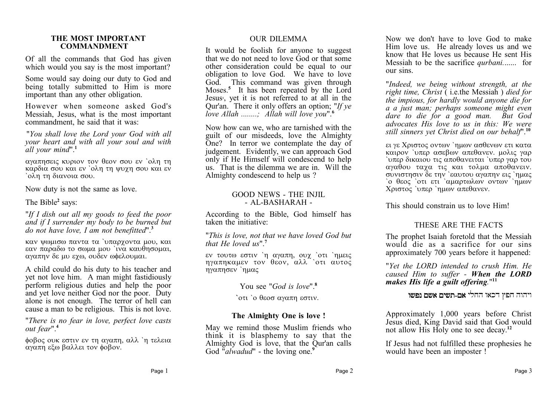#### **THE MOST IMPORTANT COMMANDMENT**

Of all the commands that God has given which would you say is the most important?

Some would say doing our duty to God and being totally submitted to Him is more important than any other obligation.

However when someone asked God's Messiah, Jesus, what is the most important commandment, he said that it was:

"*You shall love the Lord your God with all your heart and with all your soul and with all your mind*".**<sup>1</sup>**

αγαπησεις κυριον τον θεον σου εν `ολη τη καρδια σου και εν `ολη τη ψυχη σου και εν `

Now duty is not the same as love.

The Bible**<sup>2</sup>** says:

"*If I dish out all my goods to feed the poor and if I surrender my body to be burned but do not have love, I am not benefitted*".**<sup>3</sup>**

καν ψωμισω παντα τα 'υπαρχοντα μου, και εαν παραδω το σωμα μου 'ινα καυθησομαι. αγαπην δε μυ εχω, ουδεν ωφελουμαι.

A child could do his duty to his teacher and yet not love him. A man might fastidiously perform religious duties and help the poor and yet love neither God nor the poor. Duty alone is not enough. The terror of hell can cause a man to be religious. This is not love.

"*There is no fear in love, perfect love casts out fear*".**<sup>4</sup>**

φοβος ουκ εστιν εν τη αγαπη, αλλ 'η τελεια αγαπη εξω βαλλει τον φοβον.

#### OUR DILEMMA

It would be foolish for anyone to suggest that we do not need to love God or that some other consideration could be equal to our obligation to love God. We have to love God. This command was given through Moses.**<sup>5</sup>** It has been repeated by the Lord Jesus**<sup>1</sup>** , yet it is not referred to at all in the Qur'an. There it only offers an option; "*If ye love Allah ........; Allah will love you*".**<sup>6</sup>**

Now how can we, who are tarnished with the guilt of our misdeeds, love the Almighty One? In terror we contemplate the day of judgement. Evidently, we can approach God only if He Himself will condescend to help us. That is the dilemma we are in. Will the Almighty condescend to help us ?

#### GOOD NEWS - THE INJIL - AL-BASHARAH -

According to the Bible, God himself has taken the initiative:

"*This is love, not that we have loved God but that He loved us*".**<sup>7</sup>**

εν τουτω εστιν 'η αγαπη, ουχ 'οτι 'ημεις ηγαπηκαμεν τον θεον, αλλ οτι αυτος ηγαπησεν 'ημας

You see "*God is love*".<sup>8</sup>

**`** οτι `ο θεοσ αγαπη εστιν.

#### **The Almighty One is love !**

May we remind those Muslim friends who think it is blasphemy to say that the Almighty God is love, that the Qur'an calls God "*alwadud*" - the loving one.<sup>9</sup>

Now we don't have to love God to make Him love us. He already loves us and we know that He loves us because He sent His Messiah to be the sacrifice *qurbani.*...... for our sins.

"*Indeed, we being without strength, at the right time, Christ* ( i.e.the Messiah ) *died for the impious, for hardly would anyone die for a a just man; perhaps someone might even dare to die for a good man. But God advocates His love to us in this: We were still sinners yet Christ died on our behalf*".**<sup>10</sup>**

ει γε Χριστος οντων `ημων ασθενων ετι κατα καιρον `υπερ ασεβων απεθανεν. μολις γαρ  $\alpha$  ' υπερ δικαιου τις αποθανειται ' υπερ γαρ του αγαθου ταγα τις και τολμα αποθανειν. συνιστησιν δε την εαυτου αγαπην εις ημας ` ο θεος ` οτι ετι ` αμαρτωλων οντων ` ημων Χριστος 'υπερ 'ημων απεθανεν.

This should constrain us to love Him!

#### THESE ARE THE FACTS

The prophet Isaiah foretold that the Messiah would die as a sacrifice for our sins approximately 700 years before it happened:

"*Yet the LORD intended to crush Him. He caused Him to suffer - When the LORD makes His life a guilt offering.*" **11**

**ויהוה חפץ דכאו החלי אם-תשים אשם נפשו** 

Approximately 1,000 years before Christ Jesus died, King David said that God would not allow His Holy one to see decay.**<sup>12</sup>**

If Jesus had not fulfilled these prophesies he would have been an imposter !